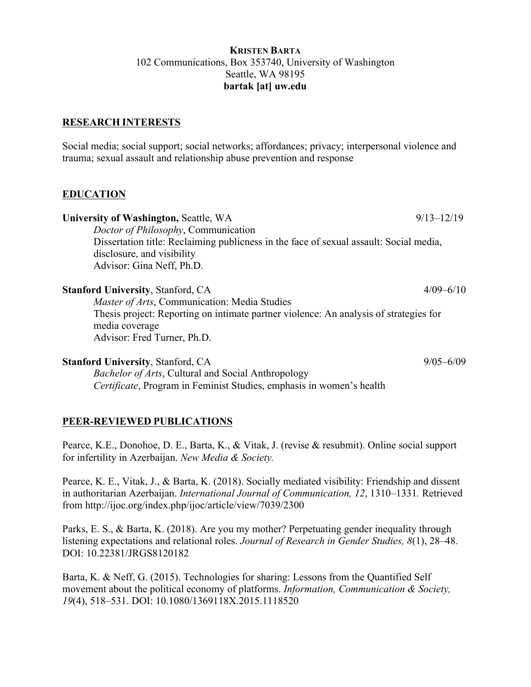### **KRISTEN BARTA** 102 Communications, Box 353740, University of Washington Seattle, WA 98195 **bartak [at] uw.edu**

## **RESEARCH INTERESTS**

Social media; social support; social networks; affordances; privacy; interpersonal violence and trauma; sexual assault and relationship abuse prevention and response

## **EDUCATION**

| University of Washington, Seattle, WA                                                  | $9/13 - 12/19$ |
|----------------------------------------------------------------------------------------|----------------|
| Doctor of Philosophy, Communication                                                    |                |
| Dissertation title: Reclaiming publicness in the face of sexual assault: Social media, |                |
| disclosure, and visibility                                                             |                |
| Advisor: Gina Neff, Ph.D.                                                              |                |
| <b>Stanford University, Stanford, CA</b>                                               | $4/09 - 6/10$  |
| Master of Arts, Communication: Media Studies                                           |                |
| Thesis project: Reporting on intimate partner violence: An analysis of strategies for  |                |
| media coverage                                                                         |                |
| Advisor: Fred Turner, Ph.D.                                                            |                |

#### **Stanford University**, Stanford, CA 9/05–6/09

*Bachelor of Arts*, Cultural and Social Anthropology *Certificate*, Program in Feminist Studies, emphasis in women's health

## **PEER-REVIEWED PUBLICATIONS**

Pearce, K.E., Donohoe, D. E., Barta, K., & Vitak, J. (revise & resubmit). Online social support for infertility in Azerbaijan. *New Media & Society.* 

Pearce, K. E., Vitak, J., & Barta, K. (2018). Socially mediated visibility: Friendship and dissent in authoritarian Azerbaijan. *International Journal of Communication, 12*, 1310–1331*.* Retrieved from http://ijoc.org/index.php/ijoc/article/view/7039/2300

Parks, E. S., & Barta, K. (2018). Are you my mother? Perpetuating gender inequality through listening expectations and relational roles. *Journal of Research in Gender Studies, 8*(1), 28–48. DOI: 10.22381/JRGS8120182

Barta, K. & Neff, G. (2015). Technologies for sharing: Lessons from the Quantified Self movement about the political economy of platforms. *Information, Communication & Society, 19*(4), 518–531. DOI: 10.1080/1369118X.2015.1118520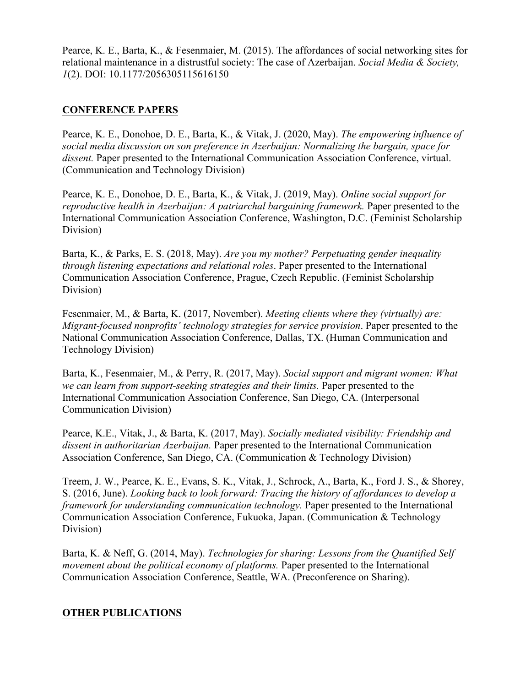Pearce, K. E., Barta, K., & Fesenmaier, M. (2015). The affordances of social networking sites for relational maintenance in a distrustful society: The case of Azerbaijan. *Social Media & Society, 1*(2). DOI: 10.1177/2056305115616150

## **CONFERENCE PAPERS**

Pearce, K. E., Donohoe, D. E., Barta, K., & Vitak, J. (2020, May). *The empowering influence of social media discussion on son preference in Azerbaijan: Normalizing the bargain, space for dissent.* Paper presented to the International Communication Association Conference, virtual. (Communication and Technology Division)

Pearce, K. E., Donohoe, D. E., Barta, K., & Vitak, J. (2019, May). *Online social support for reproductive health in Azerbaijan: A patriarchal bargaining framework.* Paper presented to the International Communication Association Conference, Washington, D.C. (Feminist Scholarship Division)

Barta, K., & Parks, E. S. (2018, May). *Are you my mother? Perpetuating gender inequality through listening expectations and relational roles*. Paper presented to the International Communication Association Conference, Prague, Czech Republic. (Feminist Scholarship Division)

Fesenmaier, M., & Barta, K. (2017, November). *Meeting clients where they (virtually) are: Migrant-focused nonprofits' technology strategies for service provision*. Paper presented to the National Communication Association Conference, Dallas, TX. (Human Communication and Technology Division)

Barta, K., Fesenmaier, M., & Perry, R. (2017, May). *Social support and migrant women: What we can learn from support-seeking strategies and their limits.* Paper presented to the International Communication Association Conference, San Diego, CA. (Interpersonal Communication Division)

Pearce, K.E., Vitak, J., & Barta, K. (2017, May). *Socially mediated visibility: Friendship and dissent in authoritarian Azerbaijan.* Paper presented to the International Communication Association Conference, San Diego, CA. (Communication & Technology Division)

Treem, J. W., Pearce, K. E., Evans, S. K., Vitak, J., Schrock, A., Barta, K., Ford J. S., & Shorey, S. (2016, June). *Looking back to look forward: Tracing the history of affordances to develop a framework for understanding communication technology.* Paper presented to the International Communication Association Conference, Fukuoka, Japan. (Communication & Technology Division)

Barta, K. & Neff, G. (2014, May). *Technologies for sharing: Lessons from the Quantified Self movement about the political economy of platforms.* Paper presented to the International Communication Association Conference, Seattle, WA. (Preconference on Sharing).

## **OTHER PUBLICATIONS**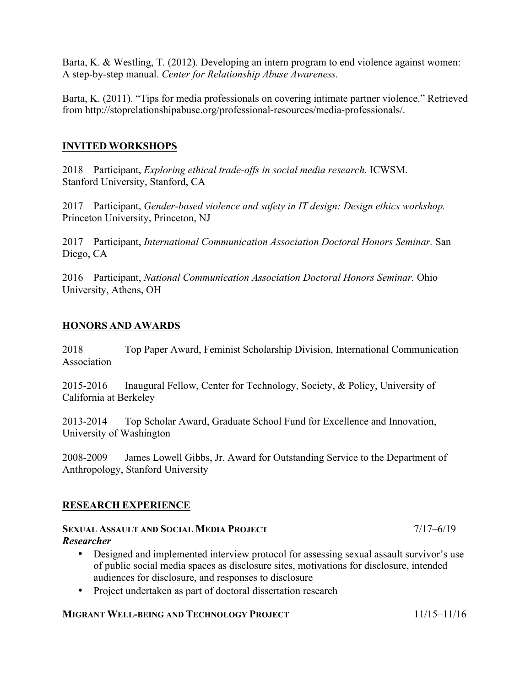Barta, K. & Westling, T. (2012). Developing an intern program to end violence against women: A step-by-step manual. *Center for Relationship Abuse Awareness.* 

Barta, K. (2011). "Tips for media professionals on covering intimate partner violence." Retrieved from http://stoprelationshipabuse.org/professional-resources/media-professionals/.

## **INVITED WORKSHOPS**

2018 Participant, *Exploring ethical trade-offs in social media research.* ICWSM. Stanford University, Stanford, CA

2017 Participant, *Gender-based violence and safety in IT design: Design ethics workshop.*  Princeton University, Princeton, NJ

2017 Participant, *International Communication Association Doctoral Honors Seminar.* San Diego, CA

2016 Participant, *National Communication Association Doctoral Honors Seminar.* Ohio University, Athens, OH

## **HONORS AND AWARDS**

2018 Top Paper Award, Feminist Scholarship Division, International Communication Association

2015-2016 Inaugural Fellow, Center for Technology, Society, & Policy, University of California at Berkeley

2013-2014 Top Scholar Award, Graduate School Fund for Excellence and Innovation, University of Washington

2008-2009 James Lowell Gibbs, Jr. Award for Outstanding Service to the Department of Anthropology, Stanford University

## **RESEARCH EXPERIENCE**

#### **SEXUAL ASSAULT AND SOCIAL MEDIA PROJECT** 7/17–6/19 *Researcher*

- Designed and implemented interview protocol for assessing sexual assault survivor's use of public social media spaces as disclosure sites, motivations for disclosure, intended audiences for disclosure, and responses to disclosure
- Project undertaken as part of doctoral dissertation research

## **MIGRANT WELL-BEING AND TECHNOLOGY PROJECT 11/15–11/16**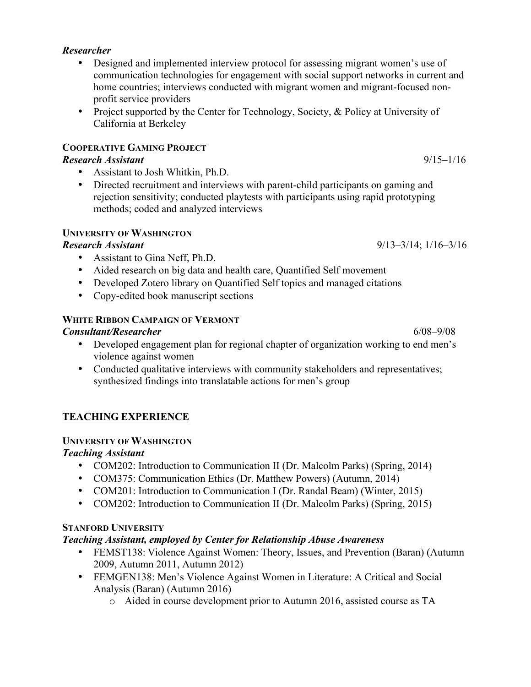# *Researcher*

- Designed and implemented interview protocol for assessing migrant women's use of communication technologies for engagement with social support networks in current and home countries; interviews conducted with migrant women and migrant-focused nonprofit service providers
- Project supported by the Center for Technology, Society, & Policy at University of California at Berkeley

## **COOPERATIVE GAMING PROJECT**

## *Research Assistant* 9/15–1/16

- Assistant to Josh Whitkin, Ph.D.
- Directed recruitment and interviews with parent-child participants on gaming and rejection sensitivity; conducted playtests with participants using rapid prototyping methods; coded and analyzed interviews

## **UNIVERSITY OF WASHINGTON**

- Assistant to Gina Neff, Ph.D.
- Aided research on big data and health care, Quantified Self movement
- Developed Zotero library on Quantified Self topics and managed citations
- Copy-edited book manuscript sections

## **WHITE RIBBON CAMPAIGN OF VERMONT**

## *Consultant/Researcher* 6/08–9/08

- Developed engagement plan for regional chapter of organization working to end men's violence against women
- Conducted qualitative interviews with community stakeholders and representatives; synthesized findings into translatable actions for men's group

# **TEACHING EXPERIENCE**

# **UNIVERSITY OF WASHINGTON**

# *Teaching Assistant*

- COM202: Introduction to Communication II (Dr. Malcolm Parks) (Spring, 2014)
- COM375: Communication Ethics (Dr. Matthew Powers) (Autumn, 2014)
- COM201: Introduction to Communication I (Dr. Randal Beam) (Winter, 2015)
- COM202: Introduction to Communication II (Dr. Malcolm Parks) (Spring, 2015)

# **STANFORD UNIVERSITY**

## *Teaching Assistant, employed by Center for Relationship Abuse Awareness*

- FEMST138: Violence Against Women: Theory, Issues, and Prevention (Baran) (Autumn 2009, Autumn 2011, Autumn 2012)
- FEMGEN138: Men's Violence Against Women in Literature: A Critical and Social Analysis (Baran) (Autumn 2016)
	- o Aided in course development prior to Autumn 2016, assisted course as TA

*Research Assistant* 9/13–3/14; 1/16–3/16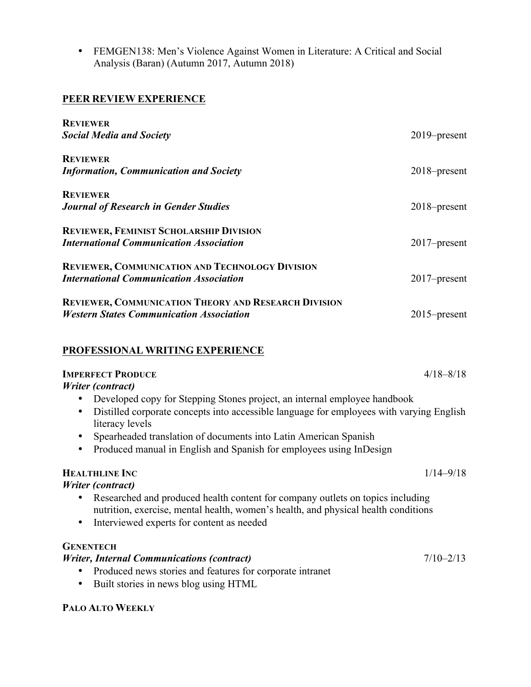• FEMGEN138: Men's Violence Against Women in Literature: A Critical and Social Analysis (Baran) (Autumn 2017, Autumn 2018)

## **PEER REVIEW EXPERIENCE**

| <b>REVIEWER</b>                                             |                 |
|-------------------------------------------------------------|-----------------|
| <b>Social Media and Society</b>                             | $2019$ -present |
| <b>REVIEWER</b>                                             |                 |
| <b>Information, Communication and Society</b>               | $2018$ -present |
| <b>REVIEWER</b>                                             |                 |
| <b>Journal of Research in Gender Studies</b>                | $2018$ -present |
| <b>REVIEWER, FEMINIST SCHOLARSHIP DIVISION</b>              |                 |
| <b>International Communication Association</b>              | $2017$ -present |
| REVIEWER, COMMUNICATION AND TECHNOLOGY DIVISION             |                 |
| <b>International Communication Association</b>              | 2017–present    |
| <b>REVIEWER, COMMUNICATION THEORY AND RESEARCH DIVISION</b> |                 |
| <b>Western States Communication Association</b>             | $2015$ -present |
|                                                             |                 |

## **PROFESSIONAL WRITING EXPERIENCE**

## **IMPERFECT PRODUCE** 4/18–8/18

### *Writer (contract)*

- Developed copy for Stepping Stones project, an internal employee handbook
- Distilled corporate concepts into accessible language for employees with varying English literacy levels
- Spearheaded translation of documents into Latin American Spanish
- Produced manual in English and Spanish for employees using InDesign

## **HEALTHLINE INC** 1/14–9/18

## *Writer (contract)*

- Researched and produced health content for company outlets on topics including nutrition, exercise, mental health, women's health, and physical health conditions
- Interviewed experts for content as needed

## **GENENTECH**

## *Writer, Internal Communications (contract)*  $7/10-2/13$

- Produced news stories and features for corporate intranet
- Built stories in news blog using HTML

## **PALO ALTO WEEKLY**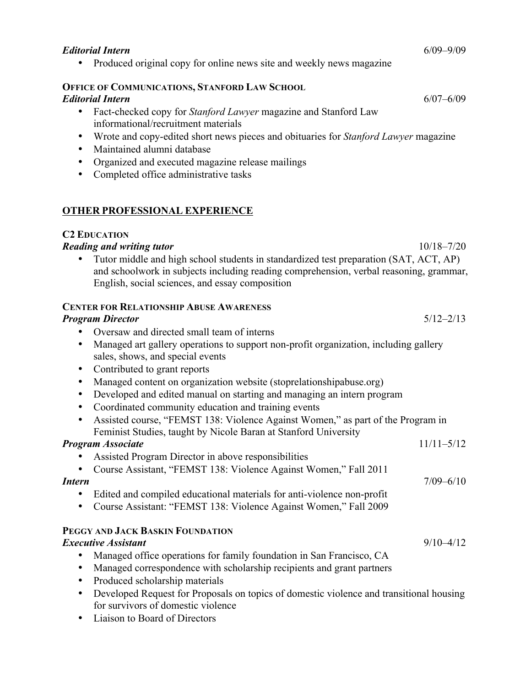#### *Editorial Intern* 6/09–9/09

• Produced original copy for online news site and weekly news magazine

## **OFFICE OF COMMUNICATIONS, STANFORD LAW SCHOOL**

#### *Editorial Intern* 6/07–6/09

- Fact-checked copy for *Stanford Lawyer* magazine and Stanford Law informational/recruitment materials
- Wrote and copy-edited short news pieces and obituaries for *Stanford Lawyer* magazine
- Maintained alumni database
- Organized and executed magazine release mailings
- Completed office administrative tasks

#### **OTHER PROFESSIONAL EXPERIENCE**

#### **C2 EDUCATION**

#### *Reading and writing tutor* 10/18–7/20

• Tutor middle and high school students in standardized test preparation (SAT, ACT, AP) and schoolwork in subjects including reading comprehension, verbal reasoning, grammar, English, social sciences, and essay composition

## **CENTER FOR RELATIONSHIP ABUSE AWARENESS**

#### *Program Director* 5/12–2/13

- Oversaw and directed small team of interns
- Managed art gallery operations to support non-profit organization, including gallery sales, shows, and special events
- Contributed to grant reports
- Managed content on organization website (stoprelationshipabuse.org)
- Developed and edited manual on starting and managing an intern program
- Coordinated community education and training events
- Assisted course, "FEMST 138: Violence Against Women," as part of the Program in Feminist Studies, taught by Nicole Baran at Stanford University

#### *Program Associate* 11/11–5/12

- Assisted Program Director in above responsibilities
- Course Assistant, "FEMST 138: Violence Against Women," Fall 2011

#### *Intern* 7/09–6/10

- Edited and compiled educational materials for anti-violence non-profit
- Course Assistant: "FEMST 138: Violence Against Women," Fall 2009

## **PEGGY AND JACK BASKIN FOUNDATION**

## *Executive Assistant* 9/10–4/12

- Managed office operations for family foundation in San Francisco, CA
- Managed correspondence with scholarship recipients and grant partners
- Produced scholarship materials
- Developed Request for Proposals on topics of domestic violence and transitional housing for survivors of domestic violence
- Liaison to Board of Directors